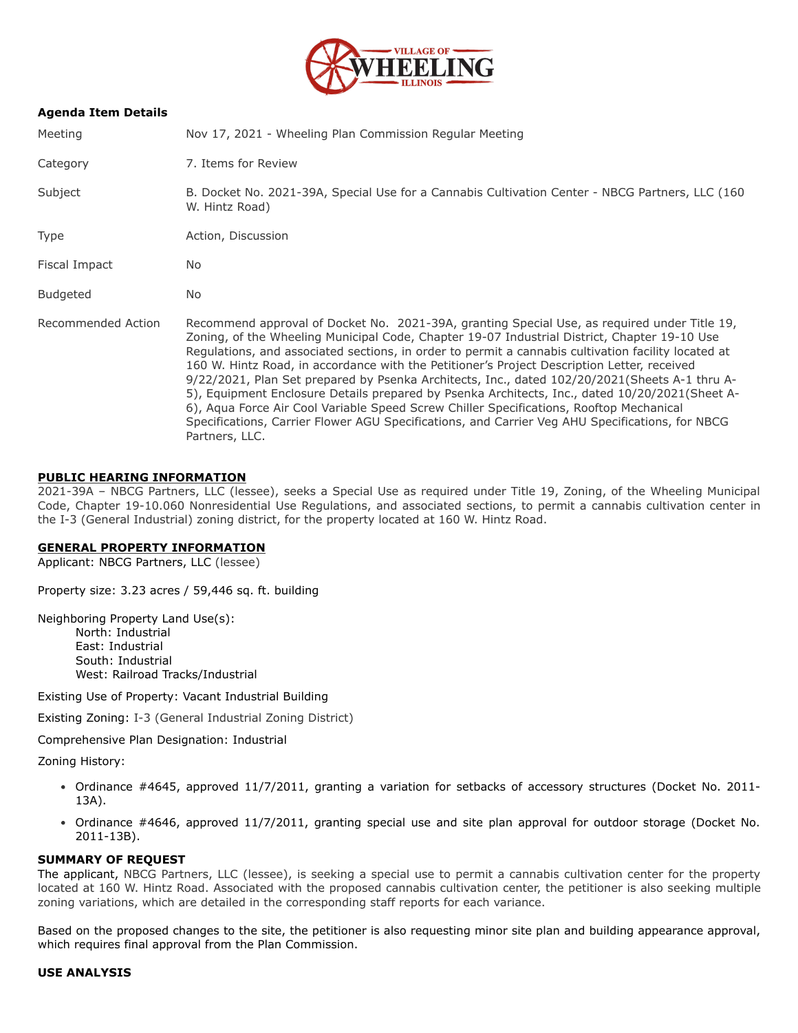

## **Agenda Item Details**

| Meeting            | Nov 17, 2021 - Wheeling Plan Commission Regular Meeting                                                                                                                                                                                                                                                                                                                                                                                                                                                                                                                                                                                                                                                                                                                                                               |
|--------------------|-----------------------------------------------------------------------------------------------------------------------------------------------------------------------------------------------------------------------------------------------------------------------------------------------------------------------------------------------------------------------------------------------------------------------------------------------------------------------------------------------------------------------------------------------------------------------------------------------------------------------------------------------------------------------------------------------------------------------------------------------------------------------------------------------------------------------|
| Category           | 7. Items for Review                                                                                                                                                                                                                                                                                                                                                                                                                                                                                                                                                                                                                                                                                                                                                                                                   |
| Subject            | B. Docket No. 2021-39A, Special Use for a Cannabis Cultivation Center - NBCG Partners, LLC (160<br>W. Hintz Road)                                                                                                                                                                                                                                                                                                                                                                                                                                                                                                                                                                                                                                                                                                     |
| <b>Type</b>        | Action, Discussion                                                                                                                                                                                                                                                                                                                                                                                                                                                                                                                                                                                                                                                                                                                                                                                                    |
| Fiscal Impact      | No.                                                                                                                                                                                                                                                                                                                                                                                                                                                                                                                                                                                                                                                                                                                                                                                                                   |
| <b>Budgeted</b>    | No.                                                                                                                                                                                                                                                                                                                                                                                                                                                                                                                                                                                                                                                                                                                                                                                                                   |
| Recommended Action | Recommend approval of Docket No. 2021-39A, granting Special Use, as required under Title 19,<br>Zoning, of the Wheeling Municipal Code, Chapter 19-07 Industrial District, Chapter 19-10 Use<br>Regulations, and associated sections, in order to permit a cannabis cultivation facility located at<br>160 W. Hintz Road, in accordance with the Petitioner's Project Description Letter, received<br>9/22/2021, Plan Set prepared by Psenka Architects, Inc., dated 102/20/2021(Sheets A-1 thru A-<br>5), Equipment Enclosure Details prepared by Psenka Architects, Inc., dated 10/20/2021(Sheet A-<br>6), Aqua Force Air Cool Variable Speed Screw Chiller Specifications, Rooftop Mechanical<br>Specifications, Carrier Flower AGU Specifications, and Carrier Veg AHU Specifications, for NBCG<br>Partners, LLC. |

### **PUBLIC HEARING INFORMATION**

2021-39A – NBCG Partners, LLC (lessee), seeks a Special Use as required under Title 19, Zoning, of the Wheeling Municipal Code, Chapter 19-10.060 Nonresidential Use Regulations, and associated sections, to permit a cannabis cultivation center in the I-3 (General Industrial) zoning district, for the property located at 160 W. Hintz Road.

#### **GENERAL PROPERTY INFORMATION**

Applicant: NBCG Partners, LLC (lessee)

Property size: 3.23 acres / 59,446 sq. ft. building

Neighboring Property Land Use(s): North: Industrial

East: Industrial South: Industrial West: Railroad Tracks/Industrial

Existing Use of Property: Vacant Industrial Building

Existing Zoning: I-3 (General Industrial Zoning District)

Comprehensive Plan Designation: Industrial

Zoning History:

- Ordinance #4645, approved 11/7/2011, granting a variation for setbacks of accessory structures (Docket No. 2011-13A).
- Ordinance #4646, approved 11/7/2011, granting special use and site plan approval for outdoor storage (Docket No. 2011-13B).

#### **SUMMARY OF REQUEST**

The applicant, NBCG Partners, LLC (lessee), is seeking a special use to permit a cannabis cultivation center for the property located at 160 W. Hintz Road. Associated with the proposed cannabis cultivation center, the petitioner is also seeking multiple zoning variations, which are detailed in the corresponding staff reports for each variance.

Based on the proposed changes to the site, the petitioner is also requesting minor site plan and building appearance approval, which requires final approval from the Plan Commission.

### **USE ANALYSIS**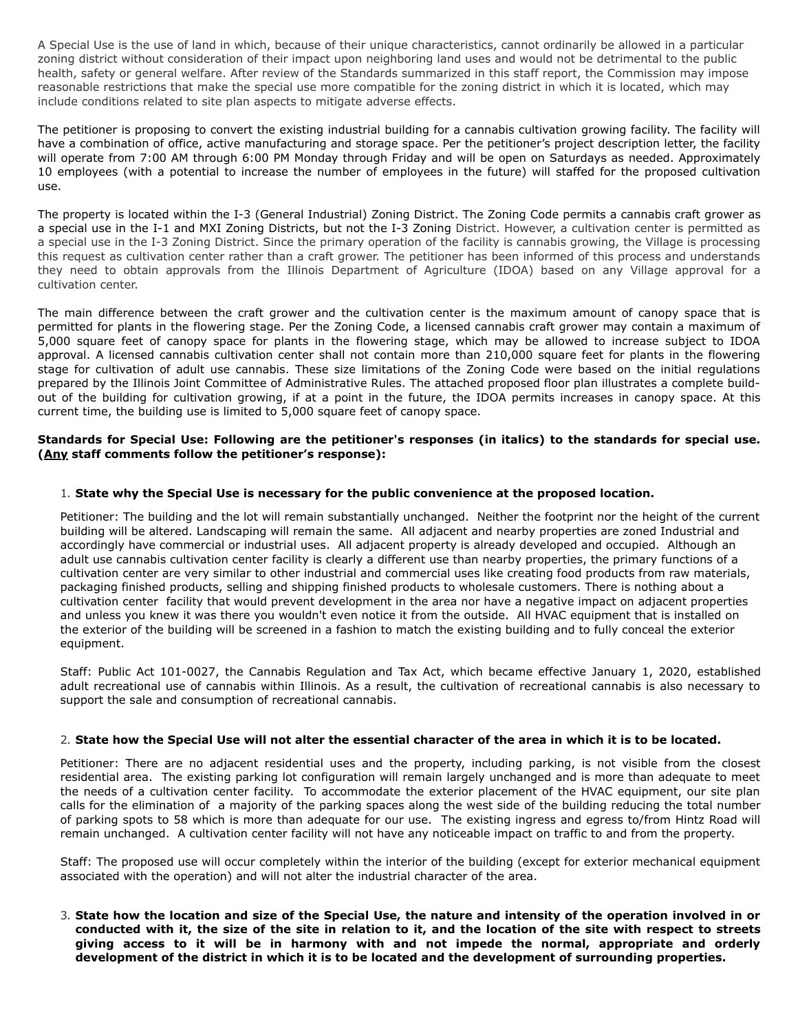A Special Use is the use of land in which, because of their unique characteristics, cannot ordinarily be allowed in a particular zoning district without consideration of their impact upon neighboring land uses and would not be detrimental to the public health, safety or general welfare. After review of the Standards summarized in this staff report, the Commission may impose reasonable restrictions that make the special use more compatible for the zoning district in which it is located, which may include conditions related to site plan aspects to mitigate adverse effects.

The petitioner is proposing to convert the existing industrial building for a cannabis cultivation growing facility. The facility will have a combination of office, active manufacturing and storage space. Per the petitioner's project description letter, the facility will operate from 7:00 AM through 6:00 PM Monday through Friday and will be open on Saturdays as needed. Approximately 10 employees (with a potential to increase the number of employees in the future) will staffed for the proposed cultivation use.

The property is located within the I-3 (General Industrial) Zoning District. The Zoning Code permits a cannabis craft grower as a special use in the I-1 and MXI Zoning Districts, but not the I-3 Zoning District. However, a cultivation center is permitted as a special use in the I-3 Zoning District. Since the primary operation of the facility is cannabis growing, the Village is processing this request as cultivation center rather than a craft grower. The petitioner has been informed of this process and understands they need to obtain approvals from the Illinois Department of Agriculture (IDOA) based on any Village approval for a cultivation center.

The main difference between the craft grower and the cultivation center is the maximum amount of canopy space that is permitted for plants in the flowering stage. Per the Zoning Code, a licensed cannabis craft grower may contain a maximum of 5,000 square feet of canopy space for plants in the flowering stage, which may be allowed to increase subject to IDOA approval. A licensed cannabis cultivation center shall not contain more than 210,000 square feet for plants in the flowering stage for cultivation of adult use cannabis. These size limitations of the Zoning Code were based on the initial regulations prepared by the Illinois Joint Committee of Administrative Rules. The attached proposed floor plan illustrates a complete buildout of the building for cultivation growing, if at a point in the future, the IDOA permits increases in canopy space. At this current time, the building use is limited to 5,000 square feet of canopy space.

## **Standards for Special Use: Following are the petitioner's responses (in italics) to the standards for special use. (Any staff comments follow the petitioner's response):**

### 1. **State why the Special Use is necessary for the public convenience at the proposed location.**

Petitioner: The building and the lot will remain substantially unchanged. Neither the footprint nor the height of the current building will be altered. Landscaping will remain the same. All adjacent and nearby properties are zoned Industrial and accordingly have commercial or industrial uses. All adjacent property is already developed and occupied. Although an adult use cannabis cultivation center facility is clearly a different use than nearby properties, the primary functions of a cultivation center are very similar to other industrial and commercial uses like creating food products from raw materials, packaging finished products, selling and shipping finished products to wholesale customers. There is nothing about a cultivation center facility that would prevent development in the area nor have a negative impact on adjacent properties and unless you knew it was there you wouldn't even notice it from the outside. All HVAC equipment that is installed on the exterior of the building will be screened in a fashion to match the existing building and to fully conceal the exterior equipment.

Staff: Public Act 101-0027, the Cannabis Regulation and Tax Act, which became effective January 1, 2020, established adult recreational use of cannabis within Illinois. As a result, the cultivation of recreational cannabis is also necessary to support the sale and consumption of recreational cannabis.

### 2. **State how the Special Use will not alter the essential character of the area in which it is to be located.**

Petitioner: There are no adjacent residential uses and the property, including parking, is not visible from the closest residential area. The existing parking lot configuration will remain largely unchanged and is more than adequate to meet the needs of a cultivation center facility. To accommodate the exterior placement of the HVAC equipment, our site plan calls for the elimination of a majority of the parking spaces along the west side of the building reducing the total number of parking spots to 58 which is more than adequate for our use. The existing ingress and egress to/from Hintz Road will remain unchanged. A cultivation center facility will not have any noticeable impact on traffic to and from the property.

Staff: The proposed use will occur completely within the interior of the building (except for exterior mechanical equipment associated with the operation) and will not alter the industrial character of the area.

3. **State how the location and size of the Special Use, the nature and intensity of the operation involved in or conducted with it, the size of the site in relation to it, and the location of the site with respect to streets giving access to it will be in harmony with and not impede the normal, appropriate and orderly development of the district in which it is to be located and the development of surrounding properties.**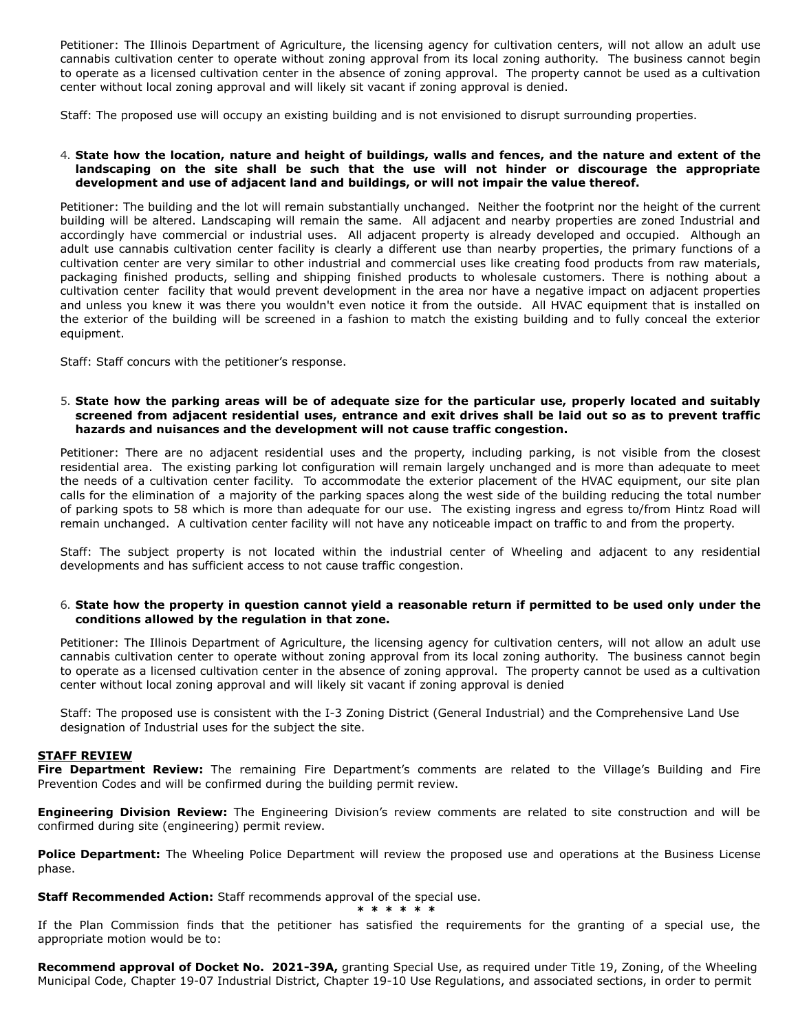Petitioner: The Illinois Department of Agriculture, the licensing agency for cultivation centers, will not allow an adult use cannabis cultivation center to operate without zoning approval from its local zoning authority. The business cannot begin to operate as a licensed cultivation center in the absence of zoning approval. The property cannot be used as a cultivation center without local zoning approval and will likely sit vacant if zoning approval is denied.

Staff: The proposed use will occupy an existing building and is not envisioned to disrupt surrounding properties.

### 4. **State how the location, nature and height of buildings, walls and fences, and the nature and extent of the landscaping on the site shall be such that the use will not hinder or discourage the appropriate development and use of adjacent land and buildings, or will not impair the value thereof.**

Petitioner: The building and the lot will remain substantially unchanged. Neither the footprint nor the height of the current building will be altered. Landscaping will remain the same. All adjacent and nearby properties are zoned Industrial and accordingly have commercial or industrial uses. All adjacent property is already developed and occupied. Although an adult use cannabis cultivation center facility is clearly a different use than nearby properties, the primary functions of a cultivation center are very similar to other industrial and commercial uses like creating food products from raw materials, packaging finished products, selling and shipping finished products to wholesale customers. There is nothing about a cultivation center facility that would prevent development in the area nor have a negative impact on adjacent properties and unless you knew it was there you wouldn't even notice it from the outside. All HVAC equipment that is installed on the exterior of the building will be screened in a fashion to match the existing building and to fully conceal the exterior equipment.

Staff: Staff concurs with the petitioner's response.

### 5. **State how the parking areas will be of adequate size for the particular use, properly located and suitably screened from adjacent residential uses, entrance and exit drives shall be laid out so as to prevent traffic hazards and nuisances and the development will not cause traffic congestion.**

Petitioner: There are no adjacent residential uses and the property, including parking, is not visible from the closest residential area. The existing parking lot configuration will remain largely unchanged and is more than adequate to meet the needs of a cultivation center facility. To accommodate the exterior placement of the HVAC equipment, our site plan calls for the elimination of a majority of the parking spaces along the west side of the building reducing the total number of parking spots to 58 which is more than adequate for our use. The existing ingress and egress to/from Hintz Road will remain unchanged. A cultivation center facility will not have any noticeable impact on traffic to and from the property.

Staff: The subject property is not located within the industrial center of Wheeling and adjacent to any residential developments and has sufficient access to not cause traffic congestion.

### 6. **State how the property in question cannot yield a reasonable return if permitted to be used only under the conditions allowed by the regulation in that zone.**

Petitioner: The Illinois Department of Agriculture, the licensing agency for cultivation centers, will not allow an adult use cannabis cultivation center to operate without zoning approval from its local zoning authority. The business cannot begin to operate as a licensed cultivation center in the absence of zoning approval. The property cannot be used as a cultivation center without local zoning approval and will likely sit vacant if zoning approval is denied

Staff: The proposed use is consistent with the I-3 Zoning District (General Industrial) and the Comprehensive Land Use designation of Industrial uses for the subject the site.

### **STAFF REVIEW**

**Fire Department Review:** The remaining Fire Department's comments are related to the Village's Building and Fire Prevention Codes and will be confirmed during the building permit review.

**Engineering Division Review:** The Engineering Division's review comments are related to site construction and will be confirmed during site (engineering) permit review.

Police Department: The Wheeling Police Department will review the proposed use and operations at the Business License phase.

**Staff Recommended Action:** Staff recommends approval of the special use. **\* \* \* \* \* \***

If the Plan Commission finds that the petitioner has satisfied the requirements for the granting of a special use, the appropriate motion would be to:

**Recommend approval of Docket No. 2021-39A,** granting Special Use, as required under Title 19, Zoning, of the Wheeling Municipal Code, Chapter 19-07 Industrial District, Chapter 19-10 Use Regulations, and associated sections, in order to permit